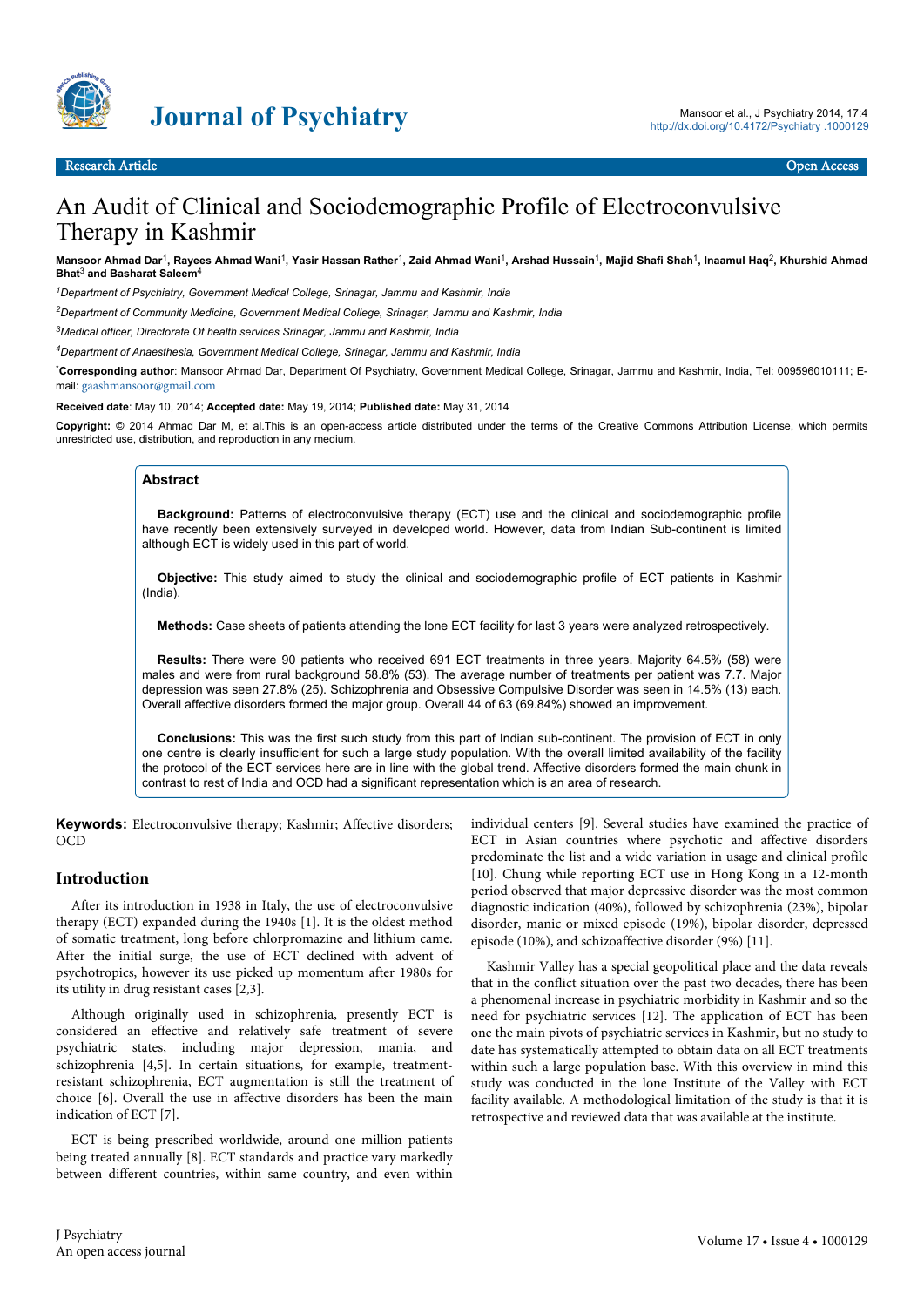

# **Journal of Psychiatry** Mansoor et al., J Psychiatry 2014, 17:4

# An Audit of Clinical and Sociodemographic Profile of Electroconvulsive Therapy in Kashmir

#### **Mansoor Ahmad Dar**<sup>1</sup> **, Rayees Ahmad Wani**<sup>1</sup> **, Yasir Hassan Rather**<sup>1</sup> **, Zaid Ahmad Wani**<sup>1</sup> **, Arshad Hussain**<sup>1</sup> **, Majid Shafi Shah**<sup>1</sup> **, Inaamul Haq**<sup>2</sup> **, Khurshid Ahmad Bhat**<sup>3</sup>  **and Basharat Saleem**<sup>4</sup>

*<sup>1</sup>Department of Psychiatry, Government Medical College, Srinagar, Jammu and Kashmir, India*

*<sup>2</sup>Department of Community Medicine, Government Medical College, Srinagar, Jammu and Kashmir, India*

*<sup>3</sup>Medical officer, Directorate Of health services Srinagar, Jammu and Kashmir, India*

*<sup>4</sup>Department of Anaesthesia, Government Medical College, Srinagar, Jammu and Kashmir, India*

\***Corresponding author**: Mansoor Ahmad Dar, Department Of Psychiatry, Government Medical College, Srinagar, Jammu and Kashmir, India, Tel: 009596010111; Email: [gaashmansoor@gmail.com](mailto:gaashmansoor@gmail.com)

**Received date**: May 10, 2014; **Accepted date:** May 19, 2014; **Published date:** May 31, 2014

**Copyright:** © 2014 Ahmad Dar M, et al.This is an open-access article distributed under the terms of the Creative Commons Attribution License, which permits unrestricted use, distribution, and reproduction in any medium.

#### **Abstract**

**Background:** Patterns of electroconvulsive therapy (ECT) use and the clinical and sociodemographic profile have recently been extensively surveyed in developed world. However, data from Indian Sub-continent is limited although ECT is widely used in this part of world.

**Objective:** This study aimed to study the clinical and sociodemographic profile of ECT patients in Kashmir (India).

**Methods:** Case sheets of patients attending the lone ECT facility for last 3 years were analyzed retrospectively.

**Results:** There were 90 patients who received 691 ECT treatments in three years. Majority 64.5% (58) were males and were from rural background 58.8% (53). The average number of treatments per patient was 7.7. Major depression was seen 27.8% (25). Schizophrenia and Obsessive Compulsive Disorder was seen in 14.5% (13) each. Overall affective disorders formed the major group. Overall 44 of 63 (69.84%) showed an improvement.

**Conclusions:** This was the first such study from this part of Indian sub-continent. The provision of ECT in only one centre is clearly insufficient for such a large study population. With the overall limited availability of the facility the protocol of the ECT services here are in line with the global trend. Affective disorders formed the main chunk in contrast to rest of India and OCD had a significant representation which is an area of research.

**Keywords:** Electroconvulsive therapy; Kashmir; Affective disorders; **OCD** 

#### **Introduction**

After its introduction in 1938 in Italy, the use of electroconvulsive therapy (ECT) expanded during the 1940s [1]. It is the oldest method of somatic treatment, long before chlorpromazine and lithium came. After the initial surge, the use of ECT declined with advent of psychotropics, however its use picked up momentum after 1980s for its utility in drug resistant cases [2,3].

Although originally used in schizophrenia, presently ECT is considered an effective and relatively safe treatment of severe psychiatric states, including major depression, mania, and schizophrenia [4,5]. In certain situations, for example, treatmentresistant schizophrenia, ECT augmentation is still the treatment of choice [6]. Overall the use in affective disorders has been the main indication of ECT [7].

ECT is being prescribed worldwide, around one million patients being treated annually [8]. ECT standards and practice vary markedly between different countries, within same country, and even within individual centers [9]. Several studies have examined the practice of ECT in Asian countries where psychotic and affective disorders predominate the list and a wide variation in usage and clinical profile [10]. Chung while reporting ECT use in Hong Kong in a 12-month period observed that major depressive disorder was the most common diagnostic indication (40%), followed by schizophrenia (23%), bipolar disorder, manic or mixed episode (19%), bipolar disorder, depressed episode (10%), and schizoaffective disorder (9%) [11].

Kashmir Valley has a special geopolitical place and the data reveals that in the conflict situation over the past two decades, there has been a phenomenal increase in psychiatric morbidity in Kashmir and so the need for psychiatric services [12]. The application of ECT has been one the main pivots of psychiatric services in Kashmir, but no study to date has systematically attempted to obtain data on all ECT treatments within such a large population base. With this overview in mind this study was conducted in the lone Institute of the Valley with ECT facility available. A methodological limitation of the study is that it is retrospective and reviewed data that was available at the institute.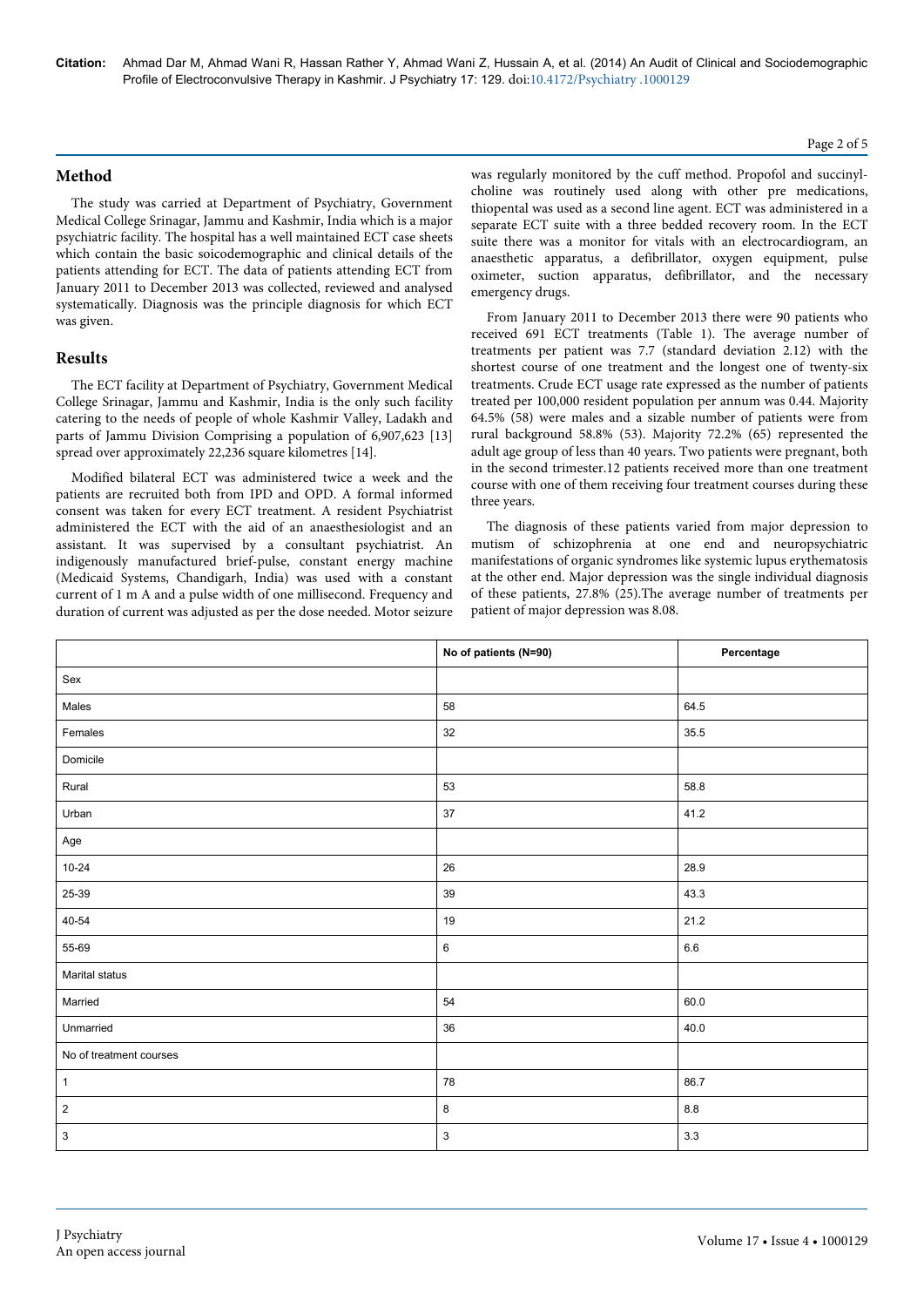**Citation:** Ahmad Dar M, Ahmad Wani R, Hassan Rather Y, Ahmad Wani Z, Hussain A, et al. (2014) An Audit of Clinical and Sociodemographic Profile of Electroconvulsive Therapy in Kashmir. J Psychiatry 17: 129. doi:10.4172/[Psychiatry](http://dx.doi.org/10.4172/Psychiatry.1000129) .1000129

#### **Method**

The study was carried at Department of Psychiatry, Government Medical College Srinagar, Jammu and Kashmir, India which is a major psychiatric facility. The hospital has a well maintained ECT case sheets which contain the basic soicodemographic and clinical details of the patients attending for ECT. The data of patients attending ECT from January 2011 to December 2013 was collected, reviewed and analysed systematically. Diagnosis was the principle diagnosis for which ECT was given.

### **Results**

The ECT facility at Department of Psychiatry, Government Medical College Srinagar, Jammu and Kashmir, India is the only such facility catering to the needs of people of whole Kashmir Valley, Ladakh and parts of Jammu Division Comprising a population of 6,907,623 [13] spread over approximately 22,236 square kilometres [14].

Modified bilateral ECT was administered twice a week and the patients are recruited both from IPD and OPD. A formal informed consent was taken for every ECT treatment. A resident Psychiatrist administered the ECT with the aid of an anaesthesiologist and an assistant. It was supervised by a consultant psychiatrist. An indigenously manufactured brief-pulse, constant energy machine (Medicaid Systems, Chandigarh, India) was used with a constant current of 1 m A and a pulse width of one millisecond. Frequency and duration of current was adjusted as per the dose needed. Motor seizure

was regularly monitored by the cuff method. Propofol and succinylcholine was routinely used along with other pre medications, thiopental was used as a second line agent. ECT was administered in a separate ECT suite with a three bedded recovery room. In the ECT suite there was a monitor for vitals with an electrocardiogram, an anaesthetic apparatus, a defibrillator, oxygen equipment, pulse oximeter, suction apparatus, defibrillator, and the necessary emergency drugs.

From January 2011 to December 2013 there were 90 patients who received 691 ECT treatments (Table 1). The average number of treatments per patient was 7.7 (standard deviation 2.12) with the shortest course of one treatment and the longest one of twenty-six treatments. Crude ECT usage rate expressed as the number of patients treated per 100,000 resident population per annum was 0.44. Majority 64.5% (58) were males and a sizable number of patients were from rural background 58.8% (53). Majority 72.2% (65) represented the adult age group of less than 40 years. Two patients were pregnant, both in the second trimester.12 patients received more than one treatment course with one of them receiving four treatment courses during these three years.

The diagnosis of these patients varied from major depression to mutism of schizophrenia at one end and neuropsychiatric manifestations of organic syndromes like systemic lupus erythematosis at the other end. Major depression was the single individual diagnosis of these patients, 27.8% (25).The average number of treatments per patient of major depression was 8.08.

|                         | No of patients (N=90) | Percentage |
|-------------------------|-----------------------|------------|
| Sex                     |                       |            |
| Males                   | 58                    | 64.5       |
| Females                 | 32                    | 35.5       |
| Domicile                |                       |            |
| Rural                   | 53                    | 58.8       |
| Urban                   | 37                    | 41.2       |
| Age                     |                       |            |
| $10 - 24$               | 26                    | 28.9       |
| 25-39                   | 39                    | 43.3       |
| $40 - 54$               | 19                    | 21.2       |
| 55-69                   | 6                     | $6.6\,$    |
| Marital status          |                       |            |
| Married                 | 54                    | 60.0       |
| Unmarried               | $36\,$                | 40.0       |
| No of treatment courses |                       |            |
| $\mathbf{1}$            | 78                    | 86.7       |
| $\overline{2}$          | 8                     | $8.8\,$    |
| 3                       | 3                     | 3.3        |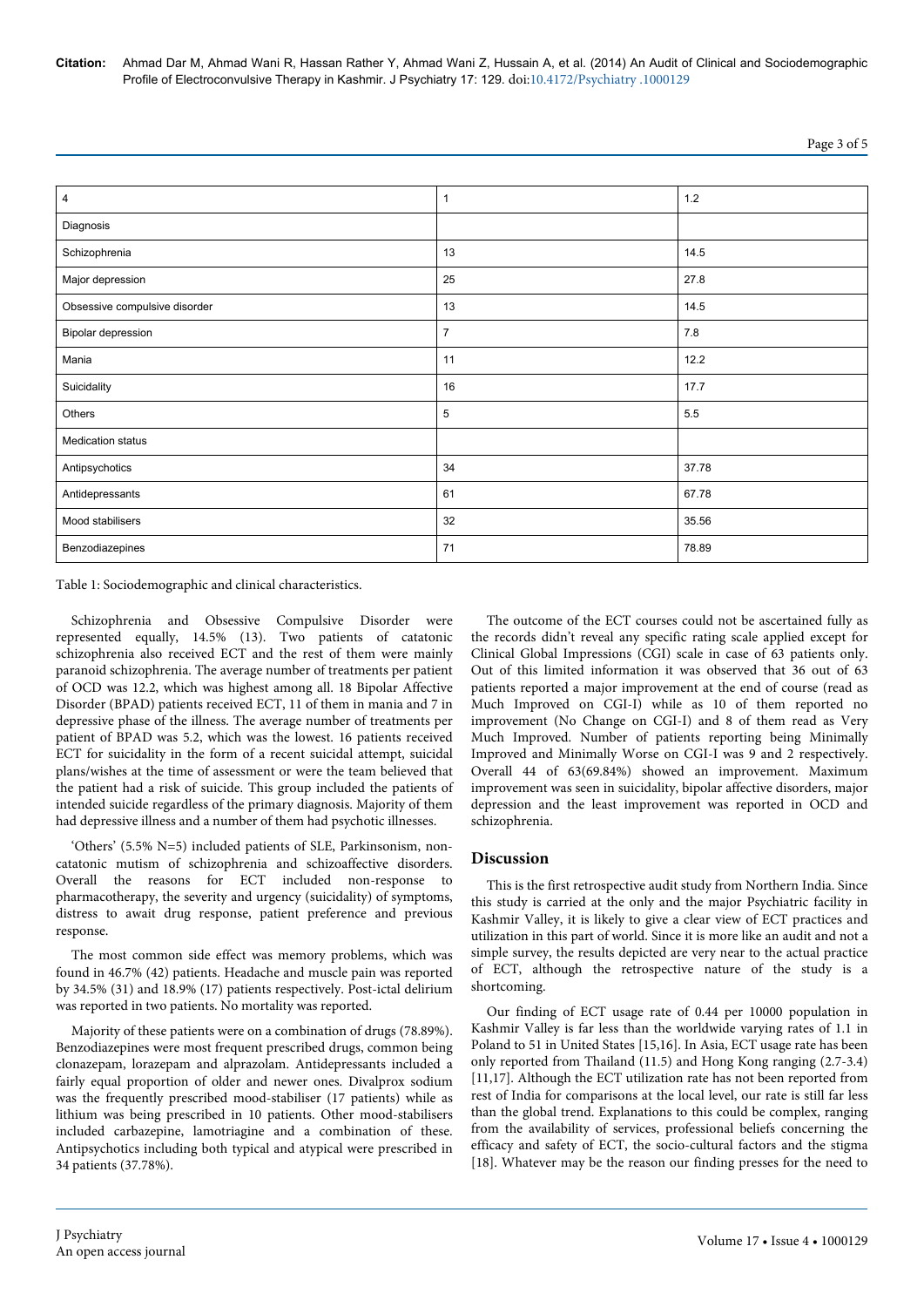| 4                             | $\mathbf{1}$   | 1.2   |
|-------------------------------|----------------|-------|
| Diagnosis                     |                |       |
| Schizophrenia                 | 13             | 14.5  |
| Major depression              | 25             | 27.8  |
| Obsessive compulsive disorder | 13             | 14.5  |
| <b>Bipolar depression</b>     | $\overline{7}$ | 7.8   |
| Mania                         | 11             | 12.2  |
| Suicidality                   | 16             | 17.7  |
| Others                        | 5              | 5.5   |
| <b>Medication status</b>      |                |       |
| Antipsychotics                | 34             | 37.78 |
| Antidepressants               | 61             | 67.78 |
| Mood stabilisers              | 32             | 35.56 |
| Benzodiazepines               | 71             | 78.89 |

Table 1: Sociodemographic and clinical characteristics.

Schizophrenia and Obsessive Compulsive Disorder were represented equally, 14.5% (13). Two patients of catatonic schizophrenia also received ECT and the rest of them were mainly paranoid schizophrenia. The average number of treatments per patient of OCD was 12.2, which was highest among all. 18 Bipolar Affective Disorder (BPAD) patients received ECT, 11 of them in mania and 7 in depressive phase of the illness. The average number of treatments per patient of BPAD was 5.2, which was the lowest. 16 patients received ECT for suicidality in the form of a recent suicidal attempt, suicidal plans/wishes at the time of assessment or were the team believed that the patient had a risk of suicide. This group included the patients of intended suicide regardless of the primary diagnosis. Majority of them had depressive illness and a number of them had psychotic illnesses.

'Others' (5.5% N=5) included patients of SLE, Parkinsonism, noncatatonic mutism of schizophrenia and schizoaffective disorders. Overall the reasons for ECT included non-response to pharmacotherapy, the severity and urgency (suicidality) of symptoms, distress to await drug response, patient preference and previous response.

The most common side effect was memory problems, which was found in 46.7% (42) patients. Headache and muscle pain was reported by 34.5% (31) and 18.9% (17) patients respectively. Post-ictal delirium was reported in two patients. No mortality was reported.

Majority of these patients were on a combination of drugs (78.89%). Benzodiazepines were most frequent prescribed drugs, common being clonazepam, lorazepam and alprazolam. Antidepressants included a fairly equal proportion of older and newer ones. Divalprox sodium was the frequently prescribed mood-stabiliser (17 patients) while as lithium was being prescribed in 10 patients. Other mood-stabilisers included carbazepine, lamotriagine and a combination of these. Antipsychotics including both typical and atypical were prescribed in 34 patients (37.78%).

The outcome of the ECT courses could not be ascertained fully as the records didn't reveal any specific rating scale applied except for Clinical Global Impressions (CGI) scale in case of 63 patients only. Out of this limited information it was observed that 36 out of 63 patients reported a major improvement at the end of course (read as Much Improved on CGI-I) while as 10 of them reported no improvement (No Change on CGI-I) and 8 of them read as Very Much Improved. Number of patients reporting being Minimally Improved and Minimally Worse on CGI-I was 9 and 2 respectively. Overall 44 of 63(69.84%) showed an improvement. Maximum improvement was seen in suicidality, bipolar affective disorders, major depression and the least improvement was reported in OCD and schizophrenia.

## **Discussion**

This is the first retrospective audit study from Northern India. Since this study is carried at the only and the major Psychiatric facility in Kashmir Valley, it is likely to give a clear view of ECT practices and utilization in this part of world. Since it is more like an audit and not a simple survey, the results depicted are very near to the actual practice of ECT, although the retrospective nature of the study is a shortcoming.

Our finding of ECT usage rate of 0.44 per 10000 population in Kashmir Valley is far less than the worldwide varying rates of 1.1 in Poland to 51 in United States [15,16]. In Asia, ECT usage rate has been only reported from Thailand (11.5) and Hong Kong ranging (2.7-3.4) [11,17]. Although the ECT utilization rate has not been reported from rest of India for comparisons at the local level, our rate is still far less than the global trend. Explanations to this could be complex, ranging from the availability of services, professional beliefs concerning the efficacy and safety of ECT, the socio-cultural factors and the stigma [18]. Whatever may be the reason our finding presses for the need to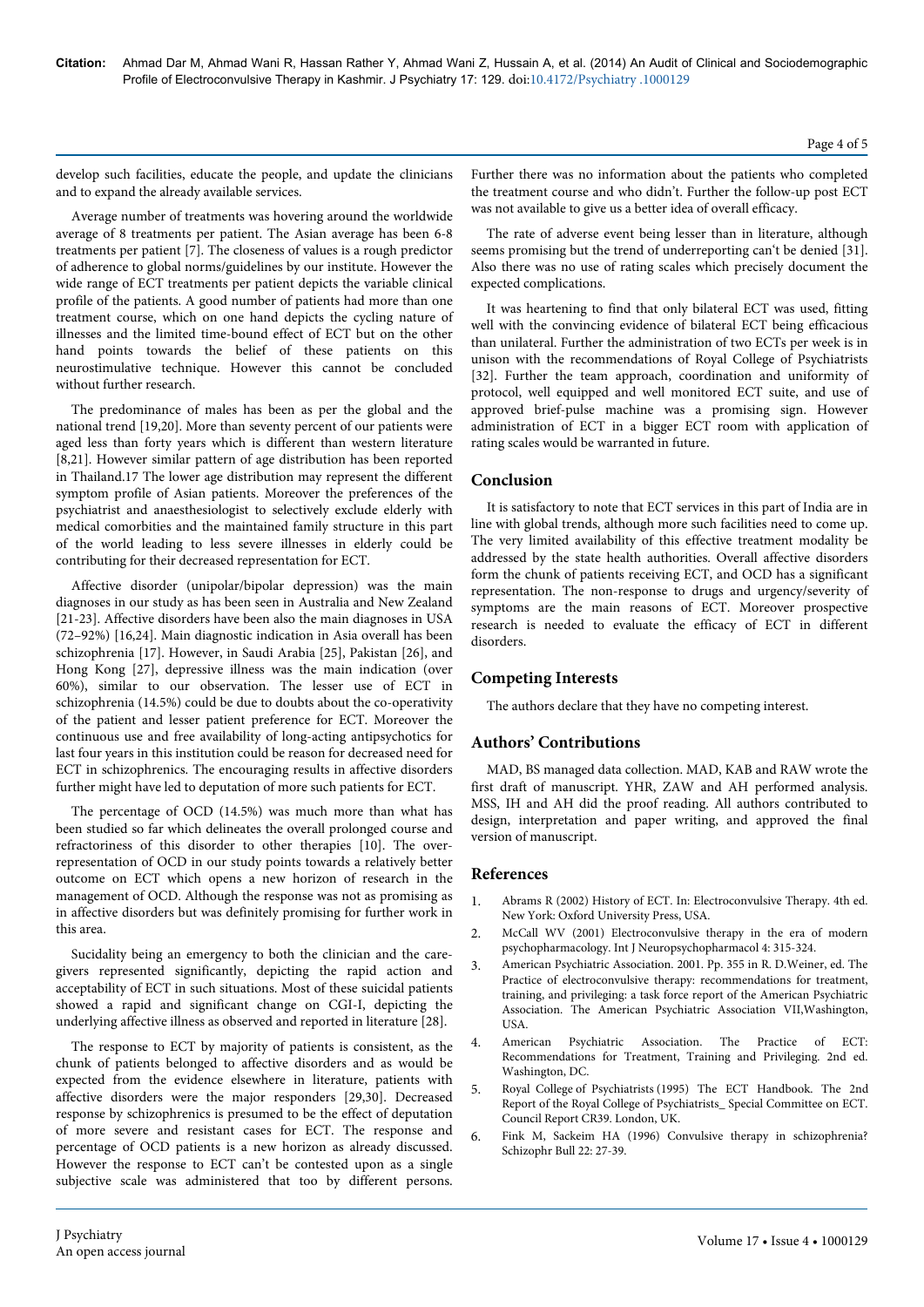develop such facilities, educate the people, and update the clinicians and to expand the already available services.

Average number of treatments was hovering around the worldwide average of 8 treatments per patient. The Asian average has been 6-8 treatments per patient [7]. The closeness of values is a rough predictor of adherence to global norms/guidelines by our institute. However the wide range of ECT treatments per patient depicts the variable clinical profile of the patients. A good number of patients had more than one treatment course, which on one hand depicts the cycling nature of illnesses and the limited time-bound effect of ECT but on the other hand points towards the belief of these patients on this neurostimulative technique. However this cannot be concluded without further research.

The predominance of males has been as per the global and the national trend [19,20]. More than seventy percent of our patients were aged less than forty years which is different than western literature [8,21]. However similar pattern of age distribution has been reported in Thailand.17 The lower age distribution may represent the different symptom profile of Asian patients. Moreover the preferences of the psychiatrist and anaesthesiologist to selectively exclude elderly with medical comorbities and the maintained family structure in this part of the world leading to less severe illnesses in elderly could be contributing for their decreased representation for ECT.

Affective disorder (unipolar/bipolar depression) was the main diagnoses in our study as has been seen in Australia and New Zealand [21-23]. Affective disorders have been also the main diagnoses in USA (72–92%) [16,24]. Main diagnostic indication in Asia overall has been schizophrenia [17]. However, in Saudi Arabia [25], Pakistan [26], and Hong Kong [27], depressive illness was the main indication (over 60%), similar to our observation. The lesser use of ECT in schizophrenia (14.5%) could be due to doubts about the co-operativity of the patient and lesser patient preference for ECT. Moreover the continuous use and free availability of long-acting antipsychotics for last four years in this institution could be reason for decreased need for ECT in schizophrenics. The encouraging results in affective disorders further might have led to deputation of more such patients for ECT.

The percentage of OCD (14.5%) was much more than what has been studied so far which delineates the overall prolonged course and refractoriness of this disorder to other therapies [10]. The overrepresentation of OCD in our study points towards a relatively better outcome on ECT which opens a new horizon of research in the management of OCD. Although the response was not as promising as in affective disorders but was definitely promising for further work in this area.

Sucidality being an emergency to both the clinician and the caregivers represented significantly, depicting the rapid action and acceptability of ECT in such situations. Most of these suicidal patients showed a rapid and significant change on CGI-I, depicting the underlying affective illness as observed and reported in literature [28].

The response to ECT by majority of patients is consistent, as the chunk of patients belonged to affective disorders and as would be expected from the evidence elsewhere in literature, patients with affective disorders were the major responders [29,30]. Decreased response by schizophrenics is presumed to be the effect of deputation of more severe and resistant cases for ECT. The response and percentage of OCD patients is a new horizon as already discussed. However the response to ECT can't be contested upon as a single subjective scale was administered that too by different persons.

Further there was no information about the patients who completed the treatment course and who didn't. Further the follow-up post ECT was not available to give us a better idea of overall efficacy.

The rate of adverse event being lesser than in literature, although seems promising but the trend of underreporting can't be denied [31]. Also there was no use of rating scales which precisely document the expected complications.

It was heartening to find that only bilateral ECT was used, fitting well with the convincing evidence of bilateral ECT being efficacious than unilateral. Further the administration of two ECTs per week is in unison with the recommendations of Royal College of Psychiatrists [32]. Further the team approach, coordination and uniformity of protocol, well equipped and well monitored ECT suite, and use of approved brief-pulse machine was a promising sign. However administration of ECT in a bigger ECT room with application of rating scales would be warranted in future.

### **Conclusion**

It is satisfactory to note that ECT services in this part of India are in line with global trends, although more such facilities need to come up. The very limited availability of this effective treatment modality be addressed by the state health authorities. Overall affective disorders form the chunk of patients receiving ECT, and OCD has a significant representation. The non-response to drugs and urgency/severity of symptoms are the main reasons of ECT. Moreover prospective research is needed to evaluate the efficacy of ECT in different disorders.

### **Competing Interests**

The authors declare that they have no competing interest.

# **Authors' Contributions**

MAD, BS managed data collection. MAD, KAB and RAW wrote the first draft of manuscript. YHR, ZAW and AH performed analysis. MSS, IH and AH did the proof reading. All authors contributed to design, interpretation and paper writing, and approved the final version of manuscript.

### **References**

- 1. [Abrams R \(2002\) History of ECT. In: Electroconvulsive Therapy. 4th ed.](http://www.google.co.in/url?sa=t&rct=j&q=&esrc=s&source=web&cd=1&cad=rja&uact=8&ved=0CCwQFjAA&url=http%3A%2F%2Fwww.amazon.com%2FElectroconvulsive-Therapy-Richard-Abrams%2Fdp%2F0195148207&ei=hdGJU9afC9edugS9s4LQCg&usg=AFQjCNEXrhynLYUcyVpijd--fOtiXjADyA&bvm=bv.67720277,d.c2E) [New York: Oxford University Press, USA.](http://www.google.co.in/url?sa=t&rct=j&q=&esrc=s&source=web&cd=1&cad=rja&uact=8&ved=0CCwQFjAA&url=http%3A%2F%2Fwww.amazon.com%2FElectroconvulsive-Therapy-Richard-Abrams%2Fdp%2F0195148207&ei=hdGJU9afC9edugS9s4LQCg&usg=AFQjCNEXrhynLYUcyVpijd--fOtiXjADyA&bvm=bv.67720277,d.c2E)
- 2. [McCall WV \(2001\) Electroconvulsive therapy in the era of modern](http://www.ncbi.nlm.nih.gov/pubmed/11602037) [psychopharmacology. Int J Neuropsychopharmacol 4: 315-324.](http://www.ncbi.nlm.nih.gov/pubmed/11602037)
- 3. [American Psychiatric Association. 2001. Pp. 355 in R. D.Weiner, ed. The](http://www.google.co.in/url?sa=t&rct=j&q=&esrc=s&source=web&cd=1&cad=rja&uact=8&ved=0CC0QFjAA&url=http%3A%2F%2Fwww.amazon.com%2FPractice-Electroconvulsive-Therapy-Recommendations-Privileging%2Fdp%2F0890422060&ei=ZNCJU5-lB9ecugSV2YL4Cg&usg=AFQjCNEWAZIa1VaFKHzsQnwyM7L9pr64Ug&bvm=bv.67720277,d.c2E) [Practice of electroconvulsive therapy: recommendations for treatment,](http://www.google.co.in/url?sa=t&rct=j&q=&esrc=s&source=web&cd=1&cad=rja&uact=8&ved=0CC0QFjAA&url=http%3A%2F%2Fwww.amazon.com%2FPractice-Electroconvulsive-Therapy-Recommendations-Privileging%2Fdp%2F0890422060&ei=ZNCJU5-lB9ecugSV2YL4Cg&usg=AFQjCNEWAZIa1VaFKHzsQnwyM7L9pr64Ug&bvm=bv.67720277,d.c2E) [training, and privileging: a task force report of the American Psychiatric](http://www.google.co.in/url?sa=t&rct=j&q=&esrc=s&source=web&cd=1&cad=rja&uact=8&ved=0CC0QFjAA&url=http%3A%2F%2Fwww.amazon.com%2FPractice-Electroconvulsive-Therapy-Recommendations-Privileging%2Fdp%2F0890422060&ei=ZNCJU5-lB9ecugSV2YL4Cg&usg=AFQjCNEWAZIa1VaFKHzsQnwyM7L9pr64Ug&bvm=bv.67720277,d.c2E) [Association. The American Psychiatric Association VII,Washington,](http://www.google.co.in/url?sa=t&rct=j&q=&esrc=s&source=web&cd=1&cad=rja&uact=8&ved=0CC0QFjAA&url=http%3A%2F%2Fwww.amazon.com%2FPractice-Electroconvulsive-Therapy-Recommendations-Privileging%2Fdp%2F0890422060&ei=ZNCJU5-lB9ecugSV2YL4Cg&usg=AFQjCNEWAZIa1VaFKHzsQnwyM7L9pr64Ug&bvm=bv.67720277,d.c2E) [USA.](http://www.google.co.in/url?sa=t&rct=j&q=&esrc=s&source=web&cd=1&cad=rja&uact=8&ved=0CC0QFjAA&url=http%3A%2F%2Fwww.amazon.com%2FPractice-Electroconvulsive-Therapy-Recommendations-Privileging%2Fdp%2F0890422060&ei=ZNCJU5-lB9ecugSV2YL4Cg&usg=AFQjCNEWAZIa1VaFKHzsQnwyM7L9pr64Ug&bvm=bv.67720277,d.c2E)
- 4. [American Psychiatric Association. The Practice of ECT:](http://www.google.co.in/url?sa=t&rct=j&q=&esrc=s&source=web&cd=1&cad=rja&uact=8&sqi=2&ved=0CCcQFjAA&url=http%3A%2F%2Fwww.amazon.com%2FPractice-Electroconvulsive-Therapy-Recommendations-Privileging%2Fdp%2F0890422060&ei=itCJU8izN4eLuASLhoCoDA&usg=AFQjCNEWAZIa1VaFKHzsQnwyM7L9pr64Ug&bvm=bv.67720277,d.c2E) [Recommendations for Treatment, Training and Privileging. 2nd ed.](http://www.google.co.in/url?sa=t&rct=j&q=&esrc=s&source=web&cd=1&cad=rja&uact=8&sqi=2&ved=0CCcQFjAA&url=http%3A%2F%2Fwww.amazon.com%2FPractice-Electroconvulsive-Therapy-Recommendations-Privileging%2Fdp%2F0890422060&ei=itCJU8izN4eLuASLhoCoDA&usg=AFQjCNEWAZIa1VaFKHzsQnwyM7L9pr64Ug&bvm=bv.67720277,d.c2E) [Washington, DC.](http://www.google.co.in/url?sa=t&rct=j&q=&esrc=s&source=web&cd=1&cad=rja&uact=8&sqi=2&ved=0CCcQFjAA&url=http%3A%2F%2Fwww.amazon.com%2FPractice-Electroconvulsive-Therapy-Recommendations-Privileging%2Fdp%2F0890422060&ei=itCJU8izN4eLuASLhoCoDA&usg=AFQjCNEWAZIa1VaFKHzsQnwyM7L9pr64Ug&bvm=bv.67720277,d.c2E)
- 5. [Royal College of Psychiatrists \(1995\) The ECT Handbook. The 2nd](http://www.google.co.in/url?sa=t&rct=j&q=&esrc=s&source=web&cd=3&cad=rja&uact=8&ved=0CDUQFjAC&url=http%3A%2F%2Fwww.ectron.co.uk%2Fws-public%2Fuploads%2F143_cr128.pdf&ei=sNCJU4SZCcGQuATthIHACQ&usg=AFQjCNHSpyqoxyIJAKJQdv2HMxJObgT2_Q&bvm=bv.67720277,d.c2E) [Report of the Royal College of Psychiatrists\\_ Special Committee on ECT.](http://www.google.co.in/url?sa=t&rct=j&q=&esrc=s&source=web&cd=3&cad=rja&uact=8&ved=0CDUQFjAC&url=http%3A%2F%2Fwww.ectron.co.uk%2Fws-public%2Fuploads%2F143_cr128.pdf&ei=sNCJU4SZCcGQuATthIHACQ&usg=AFQjCNHSpyqoxyIJAKJQdv2HMxJObgT2_Q&bvm=bv.67720277,d.c2E) [Council Report CR39. London, UK.](http://www.google.co.in/url?sa=t&rct=j&q=&esrc=s&source=web&cd=3&cad=rja&uact=8&ved=0CDUQFjAC&url=http%3A%2F%2Fwww.ectron.co.uk%2Fws-public%2Fuploads%2F143_cr128.pdf&ei=sNCJU4SZCcGQuATthIHACQ&usg=AFQjCNHSpyqoxyIJAKJQdv2HMxJObgT2_Q&bvm=bv.67720277,d.c2E)
- 6. [Fink M, Sackeim HA \(1996\) Convulsive therapy in schizophrenia?](http://www.ncbi.nlm.nih.gov/pubmed/8685661) [Schizophr Bull 22: 27-39.](http://www.ncbi.nlm.nih.gov/pubmed/8685661)